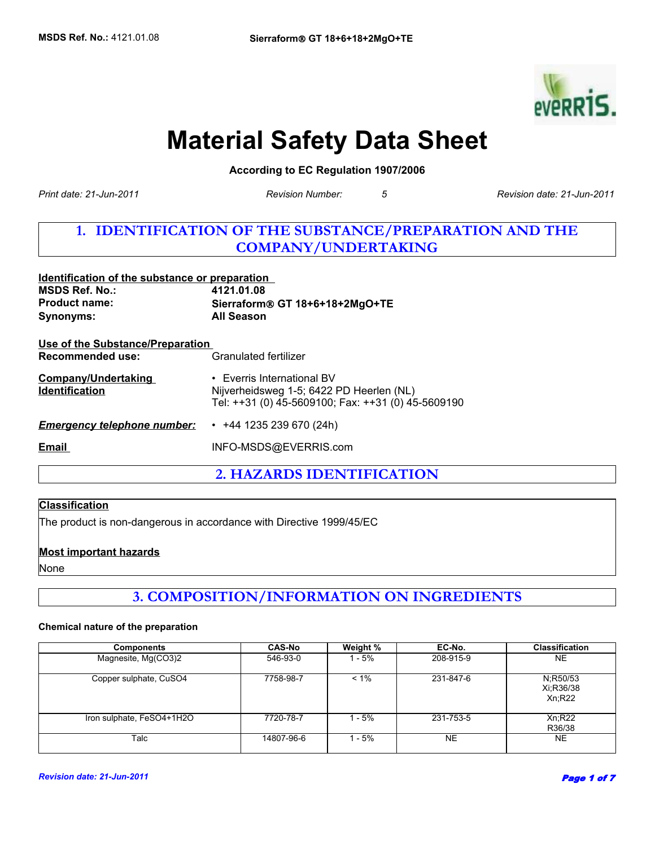

## **Material Safety Data Sheet**

**According to EC Regulation 1907/2006** 

*Revision Number: 5*

*Print date: 21-Jun-2011 Revision date: 21-Jun-2011*

## **1. IDENTIFICATION OF THE SUBSTANCE/PREPARATION AND THE COMPANY/UNDERTAKING**

| Identification of the substance or preparation                     |                                                                                                                              |  |
|--------------------------------------------------------------------|------------------------------------------------------------------------------------------------------------------------------|--|
| <b>MSDS Ref. No.:</b>                                              | 4121.01.08                                                                                                                   |  |
| <b>Product name:</b>                                               | Sierraform® GT 18+6+18+2MgO+TE                                                                                               |  |
| <b>Synonyms:</b>                                                   | <b>All Season</b>                                                                                                            |  |
| <u>Use of the Substance/Preparation</u><br><b>Recommended use:</b> | Granulated fertilizer                                                                                                        |  |
| <b>Company/Undertaking</b><br><b>Identification</b>                | • Everris International BV<br>Nijverheidsweg 1-5; 6422 PD Heerlen (NL)<br>Tel: ++31 (0) 45-5609100; Fax: ++31 (0) 45-5609190 |  |
| <b>Emergency telephone number:</b>                                 | $\cdot$ +44 1235 239 670 (24h)                                                                                               |  |
| Email                                                              | INFO-MSDS@EVERRIS.com                                                                                                        |  |
|                                                                    |                                                                                                                              |  |

**2. HAZARDS IDENTIFICATION**

#### **Classification**

The product is non-dangerous in accordance with Directive 1999/45/EC

#### **Most important hazards**

None

## **3. COMPOSITION/INFORMATION ON INGREDIENTS**

#### **Chemical nature of the preparation**

| <b>Components</b>         | <b>CAS-No</b> | Weight % | EC-No.    | <b>Classification</b>           |
|---------------------------|---------------|----------|-----------|---------------------------------|
| Magnesite, Mg(CO3)2       | 546-93-0      | - 5%     | 208-915-9 | <b>NE</b>                       |
| Copper sulphate, CuSO4    | 7758-98-7     | $< 1\%$  | 231-847-6 | N:R50/53<br>Xi:R36/38<br>Xn:R22 |
| Iron sulphate, FeSO4+1H2O | 7720-78-7     | - 5%     | 231-753-5 | Xn;R22<br>R36/38                |
| Talc                      | 14807-96-6    | - 5%     | <b>NE</b> | <b>NE</b>                       |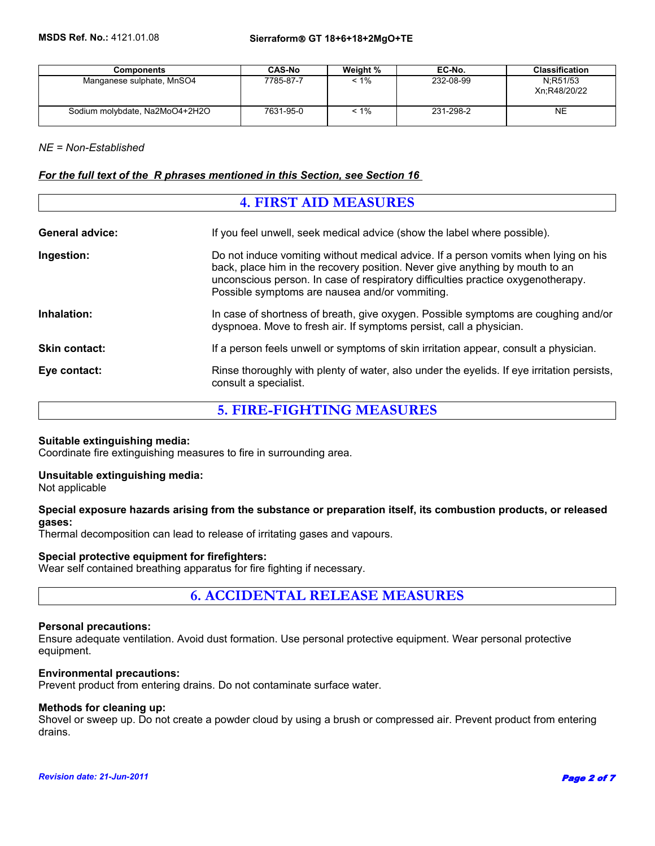| <b>Components</b>              | <b>CAS-No</b> | Weight % | EC-No.    | <b>Classification</b>    |
|--------------------------------|---------------|----------|-----------|--------------------------|
| Manganese sulphate, MnSO4      | 7785-87-7     | $< 1\%$  | 232-08-99 | N:R51/53<br>Xn:R48/20/22 |
| Sodium molybdate, Na2MoO4+2H2O | 7631-95-0     | $< 1\%$  | 231-298-2 | <b>NE</b>                |

*NE = Non-Established*

#### *For the full text of the R phrases mentioned in this Section, see Section 16*

## **4. FIRST AID MEASURES General advice:** If you feel unwell, seek medical advice (show the label where possible). **Ingestion:** Do not induce vomiting without medical advice. If a person vomits when lying on his back, place him in the recovery position. Never give anything by mouth to an unconscious person. In case of respiratory difficulties practice oxygenotherapy. Possible symptoms are nausea and/or vommiting. **Inhalation:** In case of shortness of breath, give oxygen. Possible symptoms are coughing and/or dyspnoea. Move to fresh air. If symptoms persist, call a physician. **Skin contact:** If a person feels unwell or symptoms of skin irritation appear, consult a physician. **Eye contact:** Rinse thoroughly with plenty of water, also under the eyelids. If eye irritation persists, consult a specialist.

#### **5. FIRE-FIGHTING MEASURES**

#### **Suitable extinguishing media:**

Coordinate fire extinguishing measures to fire in surrounding area.

#### **Unsuitable extinguishing media:**

Not applicable

#### **Special exposure hazards arising from the substance or preparation itself, its combustion products, or released gases:**

Thermal decomposition can lead to release of irritating gases and vapours.

#### **Special protective equipment for firefighters:**

Wear self contained breathing apparatus for fire fighting if necessary.

**6. ACCIDENTAL RELEASE MEASURES**

#### **Personal precautions:**

Ensure adequate ventilation. Avoid dust formation. Use personal protective equipment. Wear personal protective equipment.

#### **Environmental precautions:**

Prevent product from entering drains. Do not contaminate surface water.

#### **Methods for cleaning up:**

Shovel or sweep up. Do not create a powder cloud by using a brush or compressed air. Prevent product from entering drains.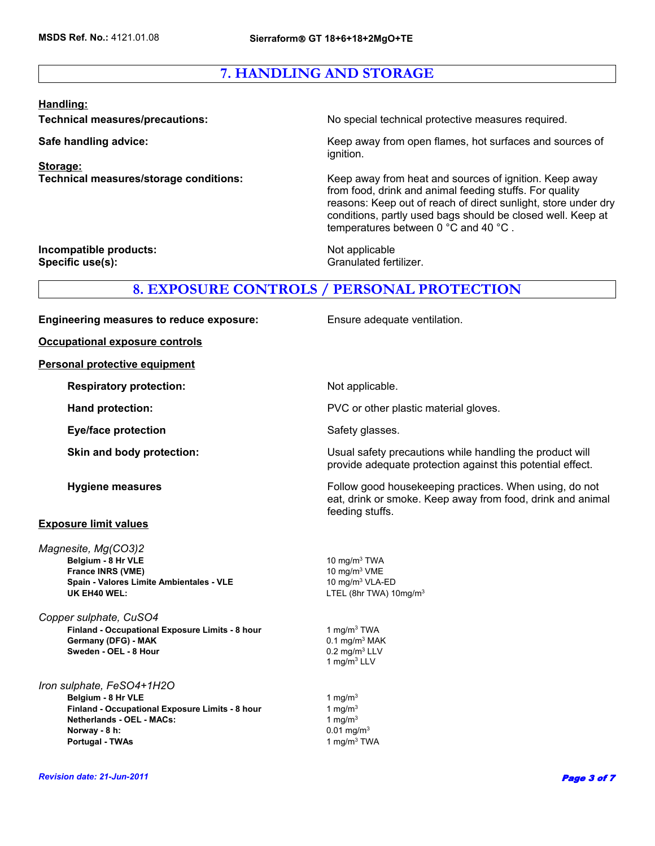## **7. HANDLING AND STORAGE**

#### **Handling:**

**Storage:**

**Technical measures/precautions:** No special technical protective measures required.

**Safe handling advice:** Keep away from open flames, hot surfaces and sources of ignition.

**Technical measures/storage conditions:** Keep away from heat and sources of ignition. Keep away from food, drink and animal feeding stuffs. For quality reasons: Keep out of reach of direct sunlight, store under dry conditions, partly used bags should be closed well. Keep at temperatures between 0 °C and 40 °C .

**Incompatible products:** Not applicable **Specific use(s):** Granulated fertilizer.

**Ensure adequate ventilation.** 

#### **8. EXPOSURE CONTROLS / PERSONAL PROTECTION**

| <b>Engineering measures to reduce exposure:</b> |  |  |
|-------------------------------------------------|--|--|
|                                                 |  |  |

**Occupational exposure controls**

**Personal protective equipment**

**Respiratory protection:** Not applicable.

**Eye/face protection** Safety glasses.

#### **Exposure limit values**

**Spain - Valores Limite Ambientales - VLE** 10 mg/m<sup>3</sup> VLA-ED UK EH40 WEL: **LACK CONTROLLER ENGINEER** LITEL (8hr TWA) 10mg/m<sup>3</sup> **Belgium - 8 Hr VLE** 2022 2023 2024 2024 2034 2035 2036 2037 2038 2039 2039 2034 2035 2036 2037 2038 2039 2039 20 *Magnesite, Mg(CO3)2* **France INRS (VME)**

**Sweden - OEL - 8 Hour**  0.2 mg/m<sup>3</sup> LLV *Copper sulphate, CuSO4*  **Finland - Occupational Exposure Limits - 8 hour Germany (DFG) - MAK** 0.1 mg/m<sup>3</sup> MAK

*Iron sulphate, FeSO4+1H2O* **Belgium - 8 Hr VLE** 1 mg/m<sup>3</sup> **Finland - Occupational Exposure Limits - 8 hour** 1 mg/m<sup>3</sup> **Netherlands - OEL - MACs:**  $1 \text{ ma/m}^3$ **Norway - 8 h:** 0.01 mg/m<sup>3</sup> **Portugal - TWAs 1 mg/m<sup>3</sup> TWA** 

**Hand protection: EXECUTE:** PVC or other plastic material gloves.

**Skin and body protection: Example 20 ISUAL State Usual safety precautions while handling the product will** provide adequate protection against this potential effect.

**Hygiene measures Follow good housekeeping practices. When using, do not all the set of the Follow good housekeeping practices. When using, do not** eat, drink or smoke. Keep away from food, drink and animal feeding stuffs.

10 mg/m3 VME

1 mg/m3 LLV 1 mg/m3 TWA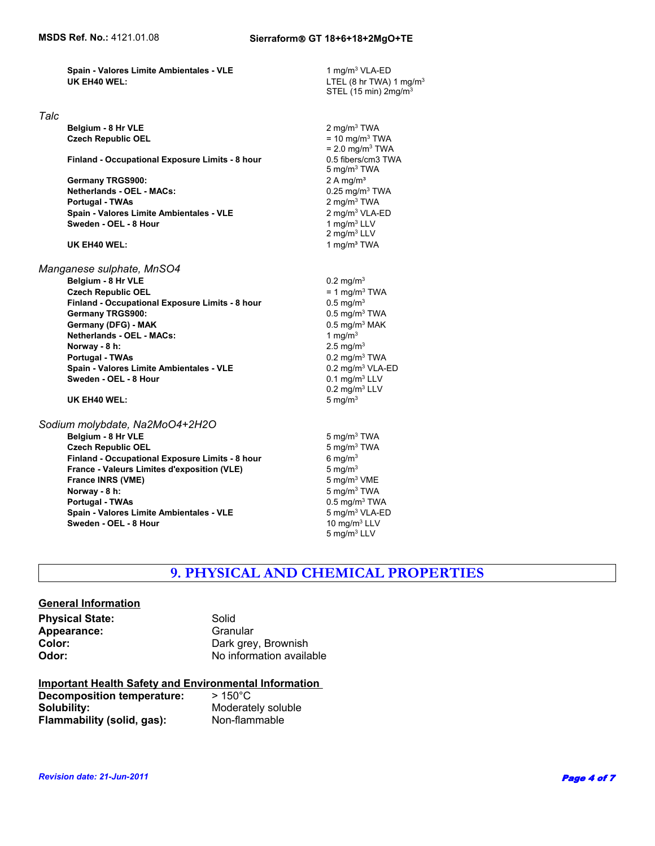1 mg/m3 VLA-ED

**Spain - Valores Limite Ambientales - VLE UK EH40 WEL:**

#### *Talc*

 **Belgium - 8 Hr VLE Czech Republic OEL** = 10 mg/m3 TWA

 **Finland - Occupational Exposure Limits - 8 hour**

 **Portugal - TWAs Spain - Valores Limite Ambientales - VLE** 2 mg/m<sup>3</sup> VLA<br> **Sweden - OEL - 8 Hour**<br>
1 mg/m<sup>3</sup> LLV **Sweden - OEL - 8 Hour Germany TRGS900:** 2 A mg/m<sup>3</sup> **Netherlands - OEL - MACs:** 0.25 mg/m3 TWA

#### **UK EH40 WEL:**

**Spain - Valores Limite Ambientales - VLE** 0.2 mg/m<sup>3</sup> VLA-ED **Sweden - OEL - 8 Hour**  0.1 mg/m<sup>3</sup> LLV *Manganese sulphate, MnSO4* **Belgium - 8 Hr VLE** 0.2 mg/m<sup>3</sup> **Czech Republic OEL**  $= 1$  mg/m<sup>3</sup> TWA **Finland - Occupational Exposure Limits - 8 hour** 0.5 mg/m<sup>3</sup> Germany TRGS900: **Case 19 and 19 and 19 and 19 and 19 and 19 and 19 and 19 and 19 and 19 and 19 and 19 and 19 and 19 and 19 and 19 and 19 and 19 and 19 and 19 and 19 and 19 and 19 and 19 and 19 and 19 and 19 and 19 and 19 Germany (DFG) - MAK** 0.5 mg/m<sup>3</sup> MAK **Netherlands - OEL - MACs:** 1 mg/m<sup>3</sup> **Norway - 8 h:** 2.5 mg/m<sup>3</sup>  **Portugal - TWAs** 0.2 mg/m3 TWA

#### **UK EH40 WEL:** 5 mg/m<sup>3</sup>

#### *Sodium molybdate, Na2MoO4+2H2O*

**Belgium - 8 Hr VLE** 5 mg/m<sup>3</sup> TWA  **Czech Republic OEL** 5 mg/m3 TWA **Finland - Occupational Exposure Limits - 8 hour** 6 mg/m<sup>3</sup> **France - Valeurs Limites d'exposition (VLE)** 5 mg/m<sup>3</sup> **France INRS (VME)** 5 mg/m<sup>3</sup> VME **Norway - 8 h:** 5 mg/m<sup>3</sup> TWA  **Portugal - TWAs** 0.5 mg/m3 TWA **Spain - Valores Limite Ambientales - VLE** 5 mg/m<sup>3</sup> VLA-ED **Sweden - OEL - 8 Hour 10 mg/m<sup>3</sup> LLV** 

0.2 mg/m3 LLV 2 mg/m<sup>3</sup> TWA<br>2 mg/m<sup>3</sup> VLA-ED 2 mg/m3 TWA 2 mg/m3 LLV 1 mg/m³ TWA  $= 2.0$  mg/m<sup>3</sup> TWA 0.5 fibers/cm3 TWA 5 mg/m3 TWA LTEL (8 hr TWA) 1 mg/m $3$ STEL (15 min) 2mg/m3

# **9. PHYSICAL AND CHEMICAL PROPERTIES**

5 mg/m3 LLV

#### **General Information**

| <b>Physical State:</b> | Solid                    |
|------------------------|--------------------------|
| Appearance:            | Granular                 |
| Color:                 | Dark grey, Brownish      |
| Odor:                  | No information available |

#### **Important Health Safety and Environmental Information**

| Decomposition temperature: | $>150^{\circ}$ C   |
|----------------------------|--------------------|
| Solubility:                | Moderately soluble |
| Flammability (solid, gas): | Non-flammable      |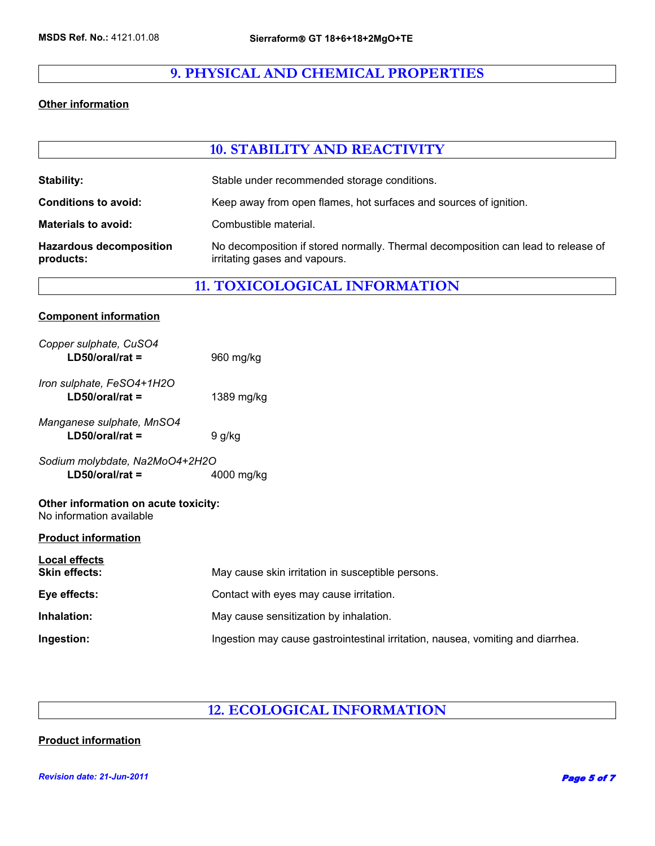## **9. PHYSICAL AND CHEMICAL PROPERTIES**

#### **Other information**

|                                                                  | <b>10. STABILITY AND REACTIVITY</b>                                                                                |  |  |
|------------------------------------------------------------------|--------------------------------------------------------------------------------------------------------------------|--|--|
| <b>Stability:</b>                                                | Stable under recommended storage conditions.                                                                       |  |  |
| <b>Conditions to avoid:</b>                                      | Keep away from open flames, hot surfaces and sources of ignition.                                                  |  |  |
| <b>Materials to avoid:</b>                                       | Combustible material.                                                                                              |  |  |
| <b>Hazardous decomposition</b><br>products:                      | No decomposition if stored normally. Thermal decomposition can lead to release of<br>irritating gases and vapours. |  |  |
|                                                                  | <b>11. TOXICOLOGICAL INFORMATION</b>                                                                               |  |  |
| <b>Component information</b>                                     |                                                                                                                    |  |  |
| Copper sulphate, CuSO4<br>$LD50/oral/rat =$                      | 960 mg/kg                                                                                                          |  |  |
| Iron sulphate, FeSO4+1H2O<br>$LD50/oral/rat =$                   | 1389 mg/kg                                                                                                         |  |  |
| Manganese sulphate, MnSO4<br>$LD50/oral/rat =$                   | 9 g/kg                                                                                                             |  |  |
| Sodium molybdate, Na2MoO4+2H2O<br>$LD50/oral/rat =$              | 4000 mg/kg                                                                                                         |  |  |
| Other information on acute toxicity:<br>No information available |                                                                                                                    |  |  |
| <b>Product information</b>                                       |                                                                                                                    |  |  |
| <b>Local effects</b><br><b>Skin effects:</b>                     | May cause skin irritation in susceptible persons.                                                                  |  |  |
| Eye effects:                                                     | Contact with eyes may cause irritation.                                                                            |  |  |
| Inhalation:                                                      | May cause sensitization by inhalation.                                                                             |  |  |
| Ingestion:                                                       | Ingestion may cause gastrointestinal irritation, nausea, vomiting and diarrhea.                                    |  |  |

## **12. ECOLOGICAL INFORMATION**

#### **Product information**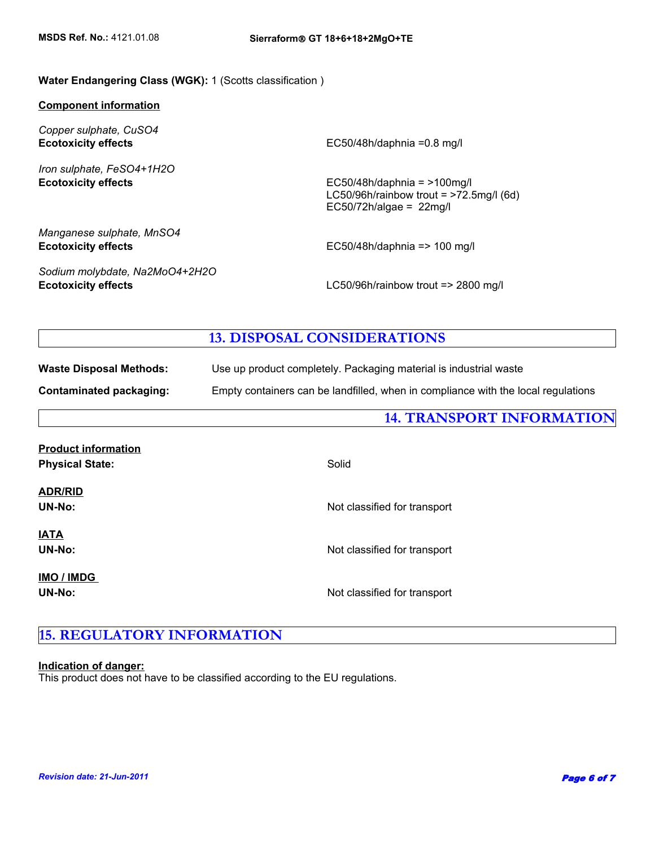#### **Water Endangering Class (WGK):** 1 (Scotts classification )

#### **Component information**

*Copper sulphate, CuSO4* **Ecotoxicity effects**

*Iron sulphate, FeSO4+1H2O*

EC50/48h/daphnia =0.8 mg/l

**Ecotoxicity effects** EC50/48h/daphnia = >100mg/l LC50/96h/rainbow trout = >72.5mg/l (6d) EC50/72h/algae =  $22$ mg/l

*Manganese sulphate, MnSO4* **Ecotoxicity effects** EC50/48h/daphnia => 100 mg/l

*Sodium molybdate, Na2MoO4+2H2O*

**Ecotoxicity effects** LC50/96h/rainbow trout => 2800 mg/l

#### **13. DISPOSAL CONSIDERATIONS**

**Waste Disposal Methods:** Use up product completely. Packaging material is industrial waste

**Contaminated packaging:** Empty containers can be landfilled, when in compliance with the local regulations

**14. TRANSPORT INFORMATION**

| <b>Product information</b><br><b>Physical State:</b> | Solid                        |
|------------------------------------------------------|------------------------------|
| <b>ADR/RID</b><br><b>UN-No:</b>                      | Not classified for transport |
| <u>IATA</u><br><b>UN-No:</b>                         | Not classified for transport |
| <b>IMO / IMDG</b><br><b>UN-No:</b>                   | Not classified for transport |

## **15. REGULATORY INFORMATION**

#### **Indication of danger:**

This product does not have to be classified according to the EU regulations.